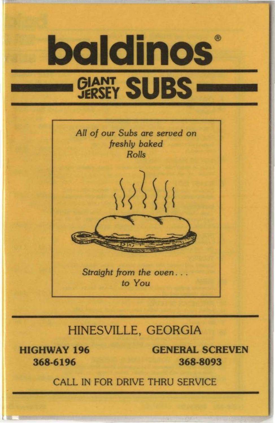

## HINESVILLE, GEORGIA

**HIGHWAY 196 368-6196** 

**GENERAL SCREVEN 368-8093** 

CALL IN FOR DRIVE THRU SERVICE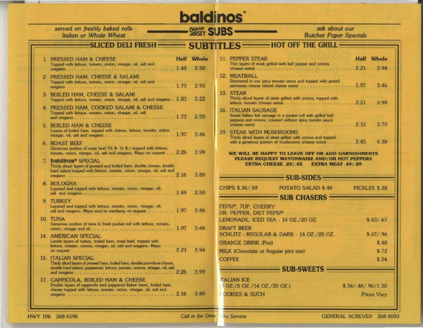## **baldinos**® **GLANT SUBS**

ask about our **Butcher Paper Specials** 

**Half** Whole

3 9 4

3.46

3.94

3.70

4.38

PICKLES \$.38

 $$.43/.67$ 

 $$.67/.96$ 

\$.48

 $$.72$ 

 $$.24$ 

## SLICED DELI FRESH **SUBTITLES - HOT OFF THE GRILL -Half** Whole 1. PRESSED HAM & CHEESE **11. PEPPER STEAK** Thin layers of steak grilled with bell pepper and onlons Topped with lettuce, tomato, onion, vinegar, oil, salt and 12 MEATRALL 2. PRESSED HAM. CHEESE & SALAMI Simmered in our spicy tomato sauce and topped with grated Topped with lettuce, tomato, onion, vinegar, oil, salt and parmesan cheese (sliced cheese extra) . . . . . . . . . . . . . . . . . . 1.97 2.93 13. STEAK 3. BOILED HAM, CHEESE & SALAMI Thinly sliced layers of steak grilled with onions, topped with Topped with lettuce, tomato, onion, vinegar, oil, salt and oregano. 1.83 3.22 4. PRESSED HAM, COOKED SALAMI & CHEESE **16. ITALIAN SAUSAGE** Topped with lettuce, tomato, onion, vinegar, oil, salt Sweet Italian link sausage in a pocket roll with grilled bell 2.93 peppers and onions, covered withour spicy tomato sauce 5. BOILED HAM & CHEESE Layers of boiled ham, topped with cheese, lettuce, tomato, onion, **19. STEAK WITH MUSHROOMS** 3.46 Thinly sliced layers of steak grilled with onions and topped with a generous portion of mushrooms (cheese extra) . . . . . . . . . . 2.45 **6. ROAST BEEF** Generous portion of roast beef (1/4 lb 1/2 lb.) topped with lettuce, tomato, onion, vinegar, oil, salt and oregano. Mayo on request . . . 2.26 3.99 WE WILL BE HAPPY TO LEAVE OFF OR ADD GARNISHMENTS PLEASE REQUEST MAYONNAISE AND/OR HOT PEPPERS 7. baldinos® SPECIAL **EXTRA CHEESE .23/.43 EXTRA MEAT .49/.89** Thinly sliced layers of pressed and boiled ham, double cheese, double hard salami topped with lettuce, tomato, onion, vinegar, oil, salt and 3.80 SUB-SIDES-8. BOLOGNA CHIPS \$.34/.59 POTATO SALAD \$.48 Layered and topped with lettuce, tomato, onion, vinegar, oil, 2.50 SUB CHASERS 9. TURKEY Layered and topped with lettuce, tomato, onion, vinegar, oil, PEPSI®, 7UP, CHERRY salt and oregano. Mayo and/or cranberry on request . . . . . . . . . 1.97 3.46 DR. PEPPER, DIET PEPSI® 10. TUNA LEMONADE, ICED TEA - 14 OZ./20 OZ. Generous portion of tuna in fresh pocket roll with lettuce, tomato, 3.46 **DRAFT BEER** SCHLITZ - REGULAR & DARK - 14 OZ./20 OZ. 14. AMERICAN SPECIAL Lavish layers of turkey, boiled ham, roast beef, topped with **ORANGE DRINK (Pint)** lettuce, tomato, onions, vinegar, oil, salt and oregano. Mayo 3.94 MILK (Chocolate or Regular pint size) **15. ITALIAN SPECIAL COFFEE** Thinly sliced layers of pressed ham, boiled ham, double provolone cheese, double hard salami, pepperoni, lettuce, tomato, onions, vinegar, oil, salt SUB-SWEETS — 3.99 17. CAPPICOLA, BOILED HAM & CHEESE **TALIAN ICE** Double layers of cappicola (red peppered Italian ham), boiled ham, OZ./5 OZ./14 OZ./20 OZ.) cheese topped with lettuce, tomato, onion, vinegar, oil, salt and 3.80 **OOKIES & SUCH**

served on freshly baked rolls

Italian or Whole Wheat

**GENERAL SCREVEN 368-8093** 

 $$.34/.48/.96/1.30$ 

Prices Vary

HWY 196 368-6196

Call in for Drive

**TU Service**